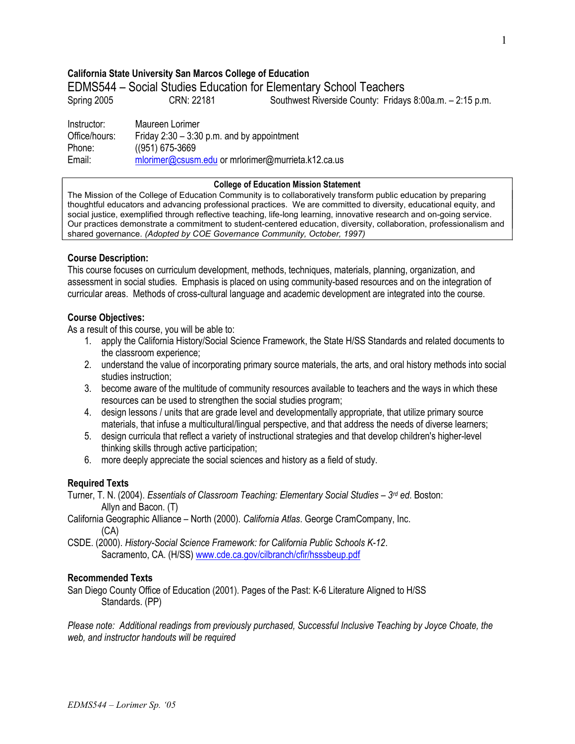# California State University San Marcos College of Education

EDMS544 – Social Studies Education for Elementary School Teachers

Spring 2005 CRN: 22181 Southwest Riverside County: Fridays 8:00a.m. - 2:15 p.m.

Instructor: Maureen Lorimer Office/hours: Friday 2:30 – 3:30 p.m. and by appointment Phone: ((951) 675-3669 Email: mlorimer@csusm.edu or mrlorimer@murrieta.k12.ca.us

#### College of Education Mission Statement

The Mission of the College of Education Community is to collaboratively transform public education by preparing thoughtful educators and advancing professional practices. We are committed to diversity, educational equity, and social justice, exemplified through reflective teaching, life-long learning, innovative research and on-going service. Our practices demonstrate a commitment to student-centered education, diversity, collaboration, professionalism and shared governance. (Adopted by COE Governance Community, October, 1997)

# Course Description:

This course focuses on curriculum development, methods, techniques, materials, planning, organization, and assessment in social studies. Emphasis is placed on using community-based resources and on the integration of curricular areas. Methods of cross-cultural language and academic development are integrated into the course.

# Course Objectives:

As a result of this course, you will be able to:

- 1. apply the California History/Social Science Framework, the State H/SS Standards and related documents to the classroom experience;
- 2. understand the value of incorporating primary source materials, the arts, and oral history methods into social studies instruction;
- 3. become aware of the multitude of community resources available to teachers and the ways in which these resources can be used to strengthen the social studies program;
- 4. design lessons / units that are grade level and developmentally appropriate, that utilize primary source materials, that infuse a multicultural/lingual perspective, and that address the needs of diverse learners;
- 5. design curricula that reflect a variety of instructional strategies and that develop children's higher-level thinking skills through active participation;
- 6. more deeply appreciate the social sciences and history as a field of study.

# Required Texts

- Turner, T. N. (2004). Essentials of Classroom Teaching: Elementary Social Studies  $3^{rd}$  ed. Boston: Allyn and Bacon. (T)
- California Geographic Alliance North (2000). California Atlas. George CramCompany, Inc. (CA)
- CSDE. (2000). History-Social Science Framework: for California Public Schools K-12. Sacramento, CA. (H/SS) www.cde.ca.gov/cilbranch/cfir/hsssbeup.pdf

# Recommended Texts

San Diego County Office of Education (2001). Pages of the Past: K-6 Literature Aligned to H/SS Standards. (PP)

Please note: Additional readings from previously purchased, Successful Inclusive Teaching by Joyce Choate, the web, and instructor handouts will be required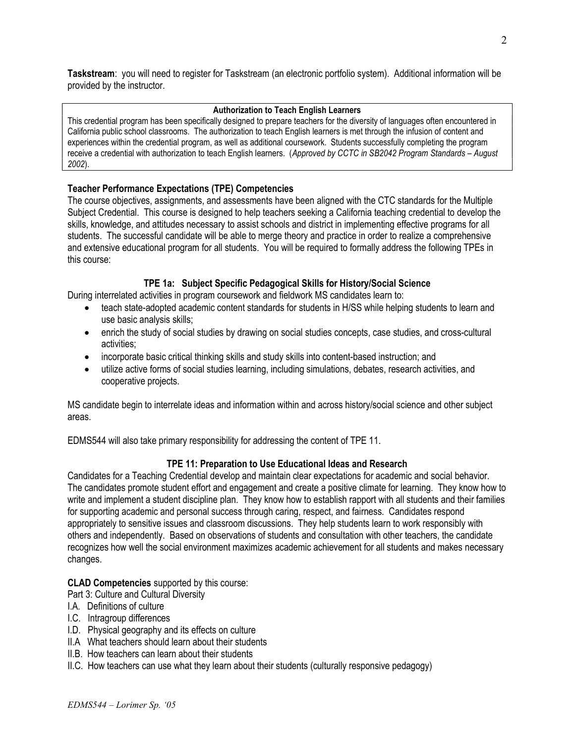Taskstream: you will need to register for Taskstream (an electronic portfolio system). Additional information will be provided by the instructor.

### Authorization to Teach English Learners

This credential program has been specifically designed to prepare teachers for the diversity of languages often encountered in California public school classrooms. The authorization to teach English learners is met through the infusion of content and experiences within the credential program, as well as additional coursework. Students successfully completing the program receive a credential with authorization to teach English learners. (Approved by CCTC in SB2042 Program Standards – August 2002).

# Teacher Performance Expectations (TPE) Competencies

The course objectives, assignments, and assessments have been aligned with the CTC standards for the Multiple Subject Credential. This course is designed to help teachers seeking a California teaching credential to develop the skills, knowledge, and attitudes necessary to assist schools and district in implementing effective programs for all students. The successful candidate will be able to merge theory and practice in order to realize a comprehensive and extensive educational program for all students. You will be required to formally address the following TPEs in this course:

# TPE 1a: Subject Specific Pedagogical Skills for History/Social Science

During interrelated activities in program coursework and fieldwork MS candidates learn to:

- teach state-adopted academic content standards for students in H/SS while helping students to learn and use basic analysis skills;
- enrich the study of social studies by drawing on social studies concepts, case studies, and cross-cultural activities;
- incorporate basic critical thinking skills and study skills into content-based instruction; and
- utilize active forms of social studies learning, including simulations, debates, research activities, and cooperative projects.

MS candidate begin to interrelate ideas and information within and across history/social science and other subject areas.

EDMS544 will also take primary responsibility for addressing the content of TPE 11.

# TPE 11: Preparation to Use Educational Ideas and Research

Candidates for a Teaching Credential develop and maintain clear expectations for academic and social behavior. The candidates promote student effort and engagement and create a positive climate for learning. They know how to write and implement a student discipline plan. They know how to establish rapport with all students and their families for supporting academic and personal success through caring, respect, and fairness. Candidates respond appropriately to sensitive issues and classroom discussions. They help students learn to work responsibly with others and independently. Based on observations of students and consultation with other teachers, the candidate recognizes how well the social environment maximizes academic achievement for all students and makes necessary changes.

# CLAD Competencies supported by this course:

Part 3: Culture and Cultural Diversity

- I.A. Definitions of culture
- I.C. Intragroup differences
- I.D. Physical geography and its effects on culture
- II.A What teachers should learn about their students
- II.B. How teachers can learn about their students
- II.C. How teachers can use what they learn about their students (culturally responsive pedagogy)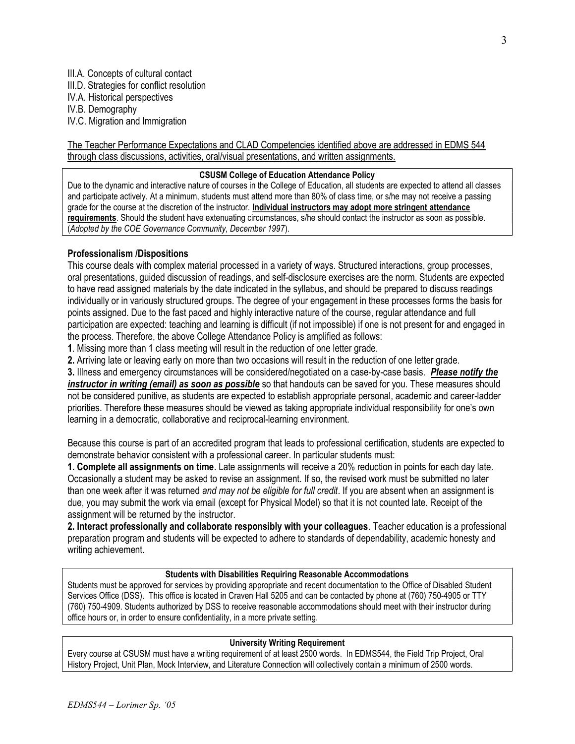- III.A. Concepts of cultural contact
- III.D. Strategies for conflict resolution
- IV.A. Historical perspectives IV.B. Demography
- IV.C. Migration and Immigration

The Teacher Performance Expectations and CLAD Competencies identified above are addressed in EDMS 544 through class discussions, activities, oral/visual presentations, and written assignments.

# CSUSM College of Education Attendance Policy

Due to the dynamic and interactive nature of courses in the College of Education, all students are expected to attend all classes and participate actively. At a minimum, students must attend more than 80% of class time, or s/he may not receive a passing grade for the course at the discretion of the instructor. Individual instructors may adopt more stringent attendance requirements. Should the student have extenuating circumstances, s/he should contact the instructor as soon as possible. (Adopted by the COE Governance Community, December 1997).

# Professionalism /Dispositions

This course deals with complex material processed in a variety of ways. Structured interactions, group processes, oral presentations, guided discussion of readings, and self-disclosure exercises are the norm. Students are expected to have read assigned materials by the date indicated in the syllabus, and should be prepared to discuss readings individually or in variously structured groups. The degree of your engagement in these processes forms the basis for points assigned. Due to the fast paced and highly interactive nature of the course, regular attendance and full participation are expected: teaching and learning is difficult (if not impossible) if one is not present for and engaged in the process. Therefore, the above College Attendance Policy is amplified as follows:

1. Missing more than 1 class meeting will result in the reduction of one letter grade.

2. Arriving late or leaving early on more than two occasions will result in the reduction of one letter grade.

3. Illness and emergency circumstances will be considered/negotiated on a case-by-case basis. Please notify the instructor in writing (email) as soon as possible so that handouts can be saved for you. These measures should not be considered punitive, as students are expected to establish appropriate personal, academic and career-ladder priorities. Therefore these measures should be viewed as taking appropriate individual responsibility for one's own learning in a democratic, collaborative and reciprocal-learning environment.

Because this course is part of an accredited program that leads to professional certification, students are expected to demonstrate behavior consistent with a professional career. In particular students must:

1. Complete all assignments on time. Late assignments will receive a 20% reduction in points for each day late. Occasionally a student may be asked to revise an assignment. If so, the revised work must be submitted no later than one week after it was returned and may not be eligible for full credit. If you are absent when an assignment is due, you may submit the work via email (except for Physical Model) so that it is not counted late. Receipt of the assignment will be returned by the instructor.

2. Interact professionally and collaborate responsibly with your colleagues. Teacher education is a professional preparation program and students will be expected to adhere to standards of dependability, academic honesty and writing achievement.

### Students with Disabilities Requiring Reasonable Accommodations

Students must be approved for services by providing appropriate and recent documentation to the Office of Disabled Student Services Office (DSS). This office is located in Craven Hall 5205 and can be contacted by phone at (760) 750-4905 or TTY (760) 750-4909. Students authorized by DSS to receive reasonable accommodations should meet with their instructor during office hours or, in order to ensure confidentiality, in a more private setting.

# University Writing Requirement

Every course at CSUSM must have a writing requirement of at least 2500 words. In EDMS544, the Field Trip Project, Oral History Project, Unit Plan, Mock Interview, and Literature Connection will collectively contain a minimum of 2500 words.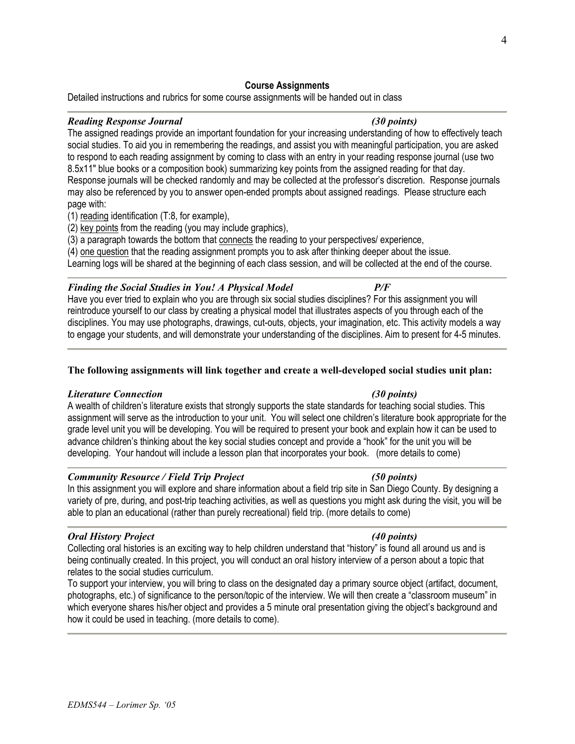# to respond to each reading assignment by coming to class with an entry in your reading response journal (use two

8.5x11" blue books or a composition book) summarizing key points from the assigned reading for that day. Response journals will be checked randomly and may be collected at the professor's discretion. Response journals may also be referenced by you to answer open-ended prompts about assigned readings. Please structure each page with:

social studies. To aid you in remembering the readings, and assist you with meaningful participation, you are asked

(1) reading identification (T:8, for example),

(2) key points from the reading (you may include graphics),

(3) a paragraph towards the bottom that connects the reading to your perspectives/ experience,

(4) one question that the reading assignment prompts you to ask after thinking deeper about the issue.

Learning logs will be shared at the beginning of each class session, and will be collected at the end of the course.

# Finding the Social Studies in You! A Physical Model P/F

Have you ever tried to explain who you are through six social studies disciplines? For this assignment you will reintroduce yourself to our class by creating a physical model that illustrates aspects of you through each of the disciplines. You may use photographs, drawings, cut-outs, objects, your imagination, etc. This activity models a way to engage your students, and will demonstrate your understanding of the disciplines. Aim to present for 4-5 minutes.

# The following assignments will link together and create a well-developed social studies unit plan:

# Literature Connection (30 points)

A wealth of children's literature exists that strongly supports the state standards for teaching social studies. This assignment will serve as the introduction to your unit. You will select one children's literature book appropriate for the grade level unit you will be developing. You will be required to present your book and explain how it can be used to advance children's thinking about the key social studies concept and provide a "hook" for the unit you will be developing. Your handout will include a lesson plan that incorporates your book. (more details to come)

# Community Resource / Field Trip Project (50 points)

In this assignment you will explore and share information about a field trip site in San Diego County. By designing a variety of pre, during, and post-trip teaching activities, as well as questions you might ask during the visit, you will be able to plan an educational (rather than purely recreational) field trip. (more details to come)

# Oral History Project (40 points)

Collecting oral histories is an exciting way to help children understand that "history" is found all around us and is being continually created. In this project, you will conduct an oral history interview of a person about a topic that relates to the social studies curriculum.

To support your interview, you will bring to class on the designated day a primary source object (artifact, document, photographs, etc.) of significance to the person/topic of the interview. We will then create a "classroom museum" in which everyone shares his/her object and provides a 5 minute oral presentation giving the object's background and how it could be used in teaching. (more details to come).

#### Course Assignments Detailed instructions and rubrics for some course assignments will be handed out in class

#### Reading Response Journal (30 points) (30 points) The assigned readings provide an important foundation for your increasing understanding of how to effectively teach

4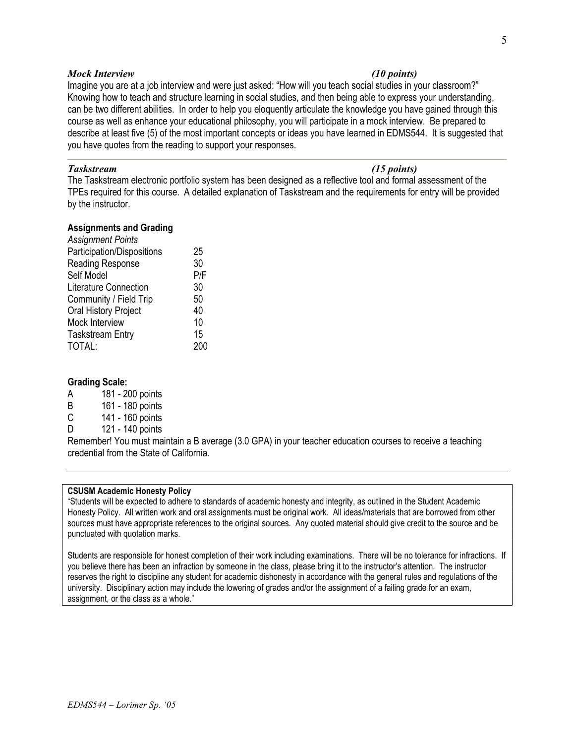#### Mock Interview (10 points)

Imagine you are at a job interview and were just asked: "How will you teach social studies in your classroom?" Knowing how to teach and structure learning in social studies, and then being able to express your understanding, can be two different abilities. In order to help you eloquently articulate the knowledge you have gained through this course as well as enhance your educational philosophy, you will participate in a mock interview. Be prepared to describe at least five (5) of the most important concepts or ideas you have learned in EDMS544. It is suggested that you have quotes from the reading to support your responses.

### Taskstream (15 points)

The Taskstream electronic portfolio system has been designed as a reflective tool and formal assessment of the TPEs required for this course. A detailed explanation of Taskstream and the requirements for entry will be provided by the instructor.

### Assignments and Grading

| <b>Assignment Points</b>     |     |
|------------------------------|-----|
| Participation/Dispositions   | 25  |
| Reading Response             | 30  |
| Self Model                   | P/F |
| <b>Literature Connection</b> | 30  |
| Community / Field Trip       | 50  |
| <b>Oral History Project</b>  | 40  |
| Mock Interview               | 10  |
| <b>Taskstream Entry</b>      | 15  |
| TOTAL:                       | 200 |

#### Grading Scale:

- A 181 200 points
- B 161 180 points
- C 141 160 points
- D 121 140 points

Remember! You must maintain a B average (3.0 GPA) in your teacher education courses to receive a teaching credential from the State of California.

#### CSUSM Academic Honesty Policy

"Students will be expected to adhere to standards of academic honesty and integrity, as outlined in the Student Academic Honesty Policy. All written work and oral assignments must be original work. All ideas/materials that are borrowed from other sources must have appropriate references to the original sources. Any quoted material should give credit to the source and be punctuated with quotation marks.

Students are responsible for honest completion of their work including examinations. There will be no tolerance for infractions. If you believe there has been an infraction by someone in the class, please bring it to the instructor's attention. The instructor reserves the right to discipline any student for academic dishonesty in accordance with the general rules and regulations of the university. Disciplinary action may include the lowering of grades and/or the assignment of a failing grade for an exam, assignment, or the class as a whole."